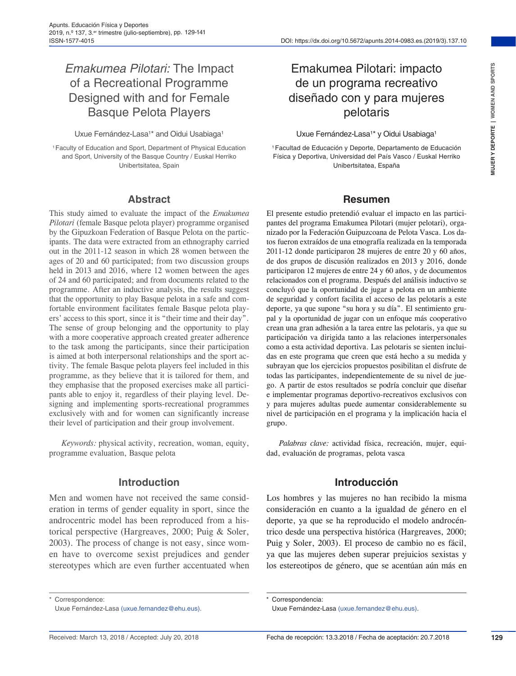# *Emakumea Pilotari:* The Impact of a Recreational Programme Designed with and for Female Basque Pelota Players

#### Uxue Fernández-Lasa<sup>1\*</sup> and Oidui Usabiaga<sup>1</sup>

1Faculty of Education and Sport, Department of Physical Education and Sport, University of the Basque Country / Euskal Herriko Unibertsitatea, Spain

#### **Abstract**

This study aimed to evaluate the impact of the *Emakumea Pilotari* (female Basque pelota player) programme organised by the Gipuzkoan Federation of Basque Pelota on the participants. The data were extracted from an ethnography carried out in the 2011-12 season in which 28 women between the ages of 20 and 60 participated; from two discussion groups held in 2013 and 2016, where 12 women between the ages of 24 and 60 participated; and from documents related to the programme. After an inductive analysis, the results suggest that the opportunity to play Basque pelota in a safe and comfortable environment facilitates female Basque pelota players' access to this sport, since it is "their time and their day". The sense of group belonging and the opportunity to play with a more cooperative approach created greater adherence to the task among the participants, since their participation is aimed at both interpersonal relationships and the sport activity. The female Basque pelota players feel included in this programme, as they believe that it is tailored for them, and they emphasise that the proposed exercises make all participants able to enjoy it, regardless of their playing level. Designing and implementing sports-recreational programmes exclusively with and for women can significantly increase their level of participation and their group involvement.

*Keywords:* physical activity, recreation, woman, equity, programme evaluation, Basque pelota

#### **Introduction**

Men and women have not received the same consideration in terms of gender equality in sport, since the androcentric model has been reproduced from a historical perspective (Hargreaves, 2000; Puig & Soler, 2003). The process of change is not easy, since women have to overcome sexist prejudices and gender stereotypes which are even further accentuated when

# Emakumea Pilotari: impacto de un programa recreativo diseñado con y para mujeres pelotaris

#### Uxue Fernández-Lasa<sup>1\*</sup> y Oidui Usabiaga<sup>1</sup>

1Facultad de Educación y Deporte, Departamento de Educación Física y Deportiva, Universidad del País Vasco / Euskal Herriko Unibertsitatea, España

#### **Resumen**

El presente estudio pretendió evaluar el impacto en las participantes del programa Emakumea Pilotari (mujer pelotari), organizado por la Federación Guipuzcoana de Pelota Vasca. Los datos fueron extraídos de una etnografía realizada en la temporada 2011-12 donde participaron 28 mujeres de entre 20 y 60 años, de dos grupos de discusión realizados en 2013 y 2016, donde participaron 12 mujeres de entre 24 y 60 años, y de documentos relacionados con el programa. Después del análisis inductivo se concluyó que la oportunidad de jugar a pelota en un ambiente de seguridad y confort facilita el acceso de las pelotaris a este deporte, ya que supone "su hora y su día". El sentimiento grupal y la oportunidad de jugar con un enfoque más cooperativo crean una gran adhesión a la tarea entre las pelotaris, ya que su participación va dirigida tanto a las relaciones interpersonales como a esta actividad deportiva. Las pelotaris se sienten incluidas en este programa que creen que está hecho a su medida y subrayan que los ejercicios propuestos posibilitan el disfrute de todas las participantes, independientemente de su nivel de juego. A partir de estos resultados se podría concluir que diseñar e implementar programas deportivo-recreativos exclusivos con y para mujeres adultas puede aumentar considerablemente su nivel de participación en el programa y la implicación hacia el grupo.

*Palabras clave:* actividad física, recreación, mujer, equidad, evaluación de programas, pelota vasca

#### **Introducción**

Los hombres y las mujeres no han recibido la misma consideración en cuanto a la igualdad de género en el deporte, ya que se ha reproducido el modelo androcéntrico desde una perspectiva histórica (Hargreaves, 2000; Puig y Soler, 2003). El proceso de cambio no es fácil, ya que las mujeres deben superar prejuicios sexistas y los estereotipos de género, que se acentúan aún más en

Correspondence:

Uxue Fernández-Lasa (uxue.fernandez@ehu.eus).

Correspondencia:

Uxue Fernández-Lasa (uxue.fernandez@ehu.eus).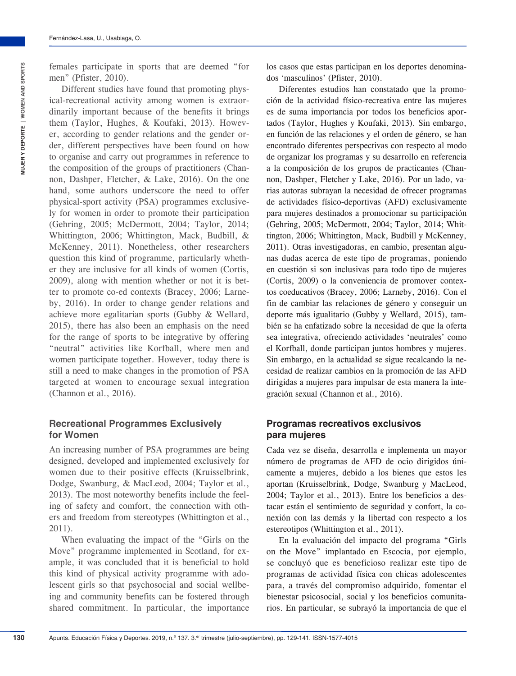females participate in sports that are deemed "for men" (Pfister, 2010).

Different studies have found that promoting physical-recreational activity among women is extraordinarily important because of the benefits it brings them (Taylor, Hughes, & Koufaki, 2013). However, according to gender relations and the gender order, different perspectives have been found on how to organise and carry out programmes in reference to the composition of the groups of practitioners (Channon, Dashper, Fletcher, & Lake, 2016). On the one hand, some authors underscore the need to offer physical-sport activity (PSA) programmes exclusively for women in order to promote their participation (Gehring, 2005; McDermott, 2004; Taylor, 2014; Whittington, 2006; Whittington, Mack, Budbill, & McKenney, 2011). Nonetheless, other researchers question this kind of programme, particularly whether they are inclusive for all kinds of women (Cortis, 2009), along with mention whether or not it is better to promote co-ed contexts (Bracey, 2006; Larneby, 2016). In order to change gender relations and achieve more egalitarian sports (Gubby & Wellard, 2015), there has also been an emphasis on the need for the range of sports to be integrative by offering "neutral" activities like Korfball, where men and women participate together. However, today there is still a need to make changes in the promotion of PSA targeted at women to encourage sexual integration (Channon et al., 2016).

#### **Recreational Programmes Exclusively for Women**

An increasing number of PSA programmes are being designed, developed and implemented exclusively for women due to their positive effects (Kruisselbrink, Dodge, Swanburg, & MacLeod, 2004; Taylor et al., 2013). The most noteworthy benefits include the feeling of safety and comfort, the connection with others and freedom from stereotypes (Whittington et al., 2011).

When evaluating the impact of the "Girls on the Move" programme implemented in Scotland, for example, it was concluded that it is beneficial to hold this kind of physical activity programme with adolescent girls so that psychosocial and social wellbeing and community benefits can be fostered through shared commitment. In particular, the importance

los casos que estas participan en los deportes denominados 'masculinos' (Pfister, 2010).

Diferentes estudios han constatado que la promoción de la actividad físico-recreativa entre las mujeres es de suma importancia por todos los beneficios aportados (Taylor, Hughes y Koufaki, 2013). Sin embargo, en función de las relaciones y el orden de género, se han encontrado diferentes perspectivas con respecto al modo de organizar los programas y su desarrollo en referencia a la composición de los grupos de practicantes (Channon, Dashper, Fletcher y Lake, 2016). Por un lado, varias autoras subrayan la necesidad de ofrecer programas de actividades físico-deportivas (AFD) exclusivamente para mujeres destinados a promocionar su participación (Gehring, 2005; McDermott, 2004; Taylor, 2014; Whittington, 2006; Whittington, Mack, Budbill y McKenney, 2011). Otras investigadoras, en cambio, presentan algunas dudas acerca de este tipo de programas, poniendo en cuestión si son inclusivas para todo tipo de mujeres (Cortis, 2009) o la conveniencia de promover contextos coeducativos (Bracey, 2006; Larneby, 2016). Con el fin de cambiar las relaciones de género y conseguir un deporte más igualitario (Gubby y Wellard, 2015), también se ha enfatizado sobre la necesidad de que la oferta sea integrativa, ofreciendo actividades 'neutrales' como el Korfball, donde participan juntos hombres y mujeres. Sin embargo, en la actualidad se sigue recalcando la necesidad de realizar cambios en la promoción de las AFD dirigidas a mujeres para impulsar de esta manera la integración sexual (Channon et al., 2016).

#### **Programas recreativos exclusivos para mujeres**

Cada vez se diseña, desarrolla e implementa un mayor número de programas de AFD de ocio dirigidos únicamente a mujeres, debido a los bienes que estos les aportan (Kruisselbrink, Dodge, Swanburg y MacLeod, 2004; Taylor et al., 2013). Entre los beneficios a destacar están el sentimiento de seguridad y confort, la conexión con las demás y la libertad con respecto a los estereotipos (Whittington et al., 2011).

En la evaluación del impacto del programa "Girls on the Move" implantado en Escocia, por ejemplo, se concluyó que es beneficioso realizar este tipo de programas de actividad física con chicas adolescentes para, a través del compromiso adquirido, fomentar el bienestar psicosocial, social y los beneficios comunitarios. En particular, se subrayó la importancia de que el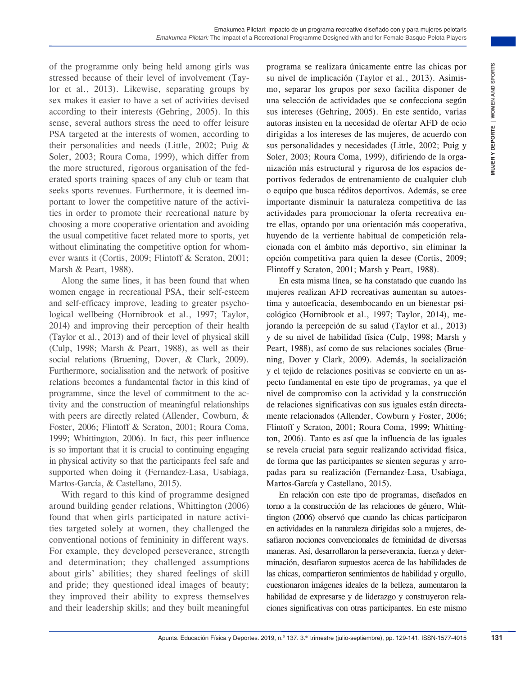of the programme only being held among girls was stressed because of their level of involvement (Taylor et al., 2013). Likewise, separating groups by sex makes it easier to have a set of activities devised according to their interests (Gehring, 2005). In this sense, several authors stress the need to offer leisure PSA targeted at the interests of women, according to their personalities and needs (Little, 2002; Puig & Soler, 2003; Roura Coma, 1999), which differ from the more structured, rigorous organisation of the federated sports training spaces of any club or team that seeks sports revenues. Furthermore, it is deemed important to lower the competitive nature of the activities in order to promote their recreational nature by choosing a more cooperative orientation and avoiding the usual competitive facet related more to sports, yet without eliminating the competitive option for whomever wants it (Cortis, 2009; Flintoff & Scraton, 2001; Marsh & Peart, 1988).

Along the same lines, it has been found that when women engage in recreational PSA, their self-esteem and self-efficacy improve, leading to greater psychological wellbeing (Hornibrook et al., 1997; Taylor, 2014) and improving their perception of their health (Taylor et al., 2013) and of their level of physical skill (Culp, 1998; Marsh & Peart, 1988), as well as their social relations (Bruening, Dover, & Clark, 2009). Furthermore, socialisation and the network of positive relations becomes a fundamental factor in this kind of programme, since the level of commitment to the activity and the construction of meaningful relationships with peers are directly related (Allender, Cowburn, & Foster, 2006; Flintoff & Scraton, 2001; Roura Coma, 1999; Whittington, 2006). In fact, this peer influence is so important that it is crucial to continuing engaging in physical activity so that the participants feel safe and supported when doing it (Fernandez-Lasa, Usabiaga, Martos-García, & Castellano, 2015).

With regard to this kind of programme designed around building gender relations, Whittington (2006) found that when girls participated in nature activities targeted solely at women, they challenged the conventional notions of femininity in different ways. For example, they developed perseverance, strength and determination; they challenged assumptions about girls' abilities; they shared feelings of skill and pride; they questioned ideal images of beauty; they improved their ability to express themselves and their leadership skills; and they built meaningful programa se realizara únicamente entre las chicas por su nivel de implicación (Taylor et al., 2013). Asimismo, separar los grupos por sexo facilita disponer de una selección de actividades que se confecciona según sus intereses (Gehring, 2005). En este sentido, varias autoras insisten en la necesidad de ofertar AFD de ocio dirigidas a los intereses de las mujeres, de acuerdo con sus personalidades y necesidades (Little, 2002; Puig y Soler, 2003; Roura Coma, 1999), difiriendo de la organización más estructural y rigurosa de los espacios deportivos federados de entrenamiento de cualquier club o equipo que busca réditos deportivos. Además, se cree importante disminuir la naturaleza competitiva de las actividades para promocionar la oferta recreativa entre ellas, optando por una orientación más cooperativa, huyendo de la vertiente habitual de competición relacionada con el ámbito más deportivo, sin eliminar la opción competitiva para quien la desee (Cortis, 2009; Flintoff y Scraton, 2001; Marsh y Peart, 1988).

Red among gives were also sense trained to the sense of the sense of the sense of the sense of the sense of the sense of the sense of the sense of the sense of the sense of the sense of the sense of the sense of the sense En esta misma línea, se ha constatado que cuando las mujeres realizan AFD recreativas aumentan su autoestima y autoeficacia, desembocando en un bienestar psicológico (Hornibrook et al., 1997; Taylor, 2014), mejorando la percepción de su salud (Taylor et al., 2013) y de su nivel de habilidad física (Culp, 1998; Marsh y Peart, 1988), así como de sus relaciones sociales (Bruening, Dover y Clark, 2009). Además, la socialización y el tejido de relaciones positivas se convierte en un aspecto fundamental en este tipo de programas, ya que el nivel de compromiso con la actividad y la construcción de relaciones significativas con sus iguales están directamente relacionados (Allender, Cowburn y Foster, 2006; Flintoff y Scraton, 2001; Roura Coma, 1999; Whittington, 2006). Tanto es así que la influencia de las iguales se revela crucial para seguir realizando actividad física, de forma que las participantes se sienten seguras y arropadas para su realización (Fernandez-Lasa, Usabiaga, Martos-García y Castellano, 2015).

En relación con este tipo de programas, diseñados en torno a la construcción de las relaciones de género, Whittington (2006) observó que cuando las chicas participaron en actividades en la naturaleza dirigidas solo a mujeres, desafiaron nociones convencionales de feminidad de diversas maneras. Así, desarrollaron la perseverancia, fuerza y determinación, desafiaron supuestos acerca de las habilidades de las chicas, compartieron sentimientos de habilidad y orgullo, cuestionaron imágenes ideales de la belleza, aumentaron la habilidad de expresarse y de liderazgo y construyeron relaciones significativas con otras participantes. En este mismo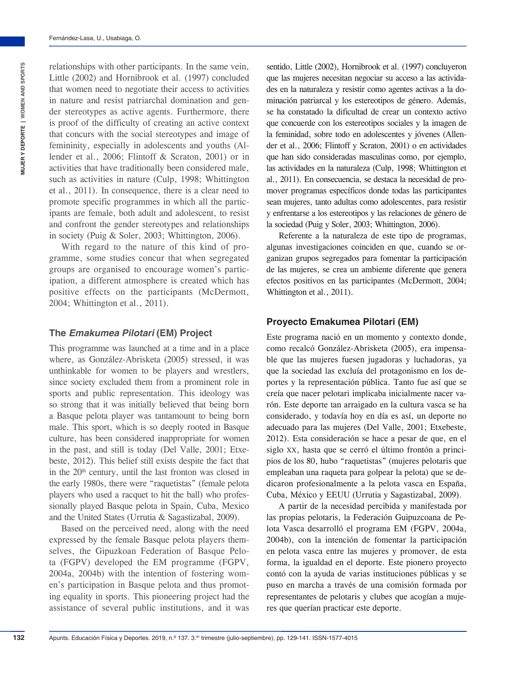relationships with other participants. In the same vein, Little (2002) and Hornibrook et al. (1997) concluded that women need to negotiate their access to activities in nature and resist patriarchal domination and gender stereotypes as active agents. Furthermore, there is proof of the difficulty of creating an active context that concurs with the social stereotypes and image of femininity, especially in adolescents and youths (Allender et al., 2006; Flintoff & Scraton, 2001) or in activities that have traditionally been considered male, such as activities in nature (Culp, 1998; Whittington et al., 2011). In consequence, there is a clear need to promote specific programmes in which all the participants are female, both adult and adolescent, to resist and confront the gender stereotypes and relationships in society (Puig & Soler, 2003; Whittington, 2006).

With regard to the nature of this kind of programme, some studies concur that when segregated groups are organised to encourage women's participation, a different atmosphere is created which has positive effects on the participants (McDermott, 2004; Whittington et al., 2011).

#### **The** *Emakumea Pilotari* **(EM) Project**

This programme was launched at a time and in a place where, as González-Abrisketa (2005) stressed, it was unthinkable for women to be players and wrestlers, since society excluded them from a prominent role in sports and public representation. This ideology was so strong that it was initially believed that being born a Basque pelota player was tantamount to being born male. This sport, which is so deeply rooted in Basque culture, has been considered inappropriate for women in the past, and still is today (Del Valle, 2001; Etxebeste, 2012). This belief still exists despite the fact that in the 20<sup>th</sup> century, until the last fronton was closed in the early 1980s, there were "raquetistas" (female pelota players who used a racquet to hit the ball) who professionally played Basque pelota in Spain, Cuba, Mexico and the United States (Urrutia & Sagastizabal, 2009).

Based on the perceived need, along with the need expressed by the female Basque pelota players themselves, the Gipuzkoan Federation of Basque Pelota (FGPV) developed the EM programme (FGPV, 2004a, 2004b) with the intention of fostering women's participation in Basque pelota and thus promoting equality in sports. This pioneering project had the assistance of several public institutions, and it was

sentido, Little (2002), Hornibrook et al. (1997) concluyeron que las mujeres necesitan negociar su acceso a las actividades en la naturaleza y resistir como agentes activas a la dominación patriarcal y los estereotipos de género. Además, se ha constatado la dificultad de crear un contexto activo que concuerde con los estereotipos sociales y la imagen de la feminidad, sobre todo en adolescentes y jóvenes (Allender et al., 2006; Flintoff y Scraton, 2001) o en actividades que han sido consideradas masculinas como, por ejemplo, las actividades en la naturaleza (Culp, 1998; Whittington et al., 2011). En consecuencia, se destaca la necesidad de promover programas específicos donde todas las participantes sean mujeres, tanto adultas como adolescentes, para resistir y enfrentarse a los estereotipos y las relaciones de género de la sociedad (Puig y Soler, 2003; Whittington, 2006).

Referente a la naturaleza de este tipo de programas, algunas investigaciones coinciden en que, cuando se organizan grupos segregados para fomentar la participación de las mujeres, se crea un ambiente diferente que genera efectos positivos en las participantes (McDermott, 2004; Whittington et al., 2011).

#### **Proyecto Emakumea Pilotari (EM)**

Este programa nació en un momento y contexto donde, como recalcó González-Abrisketa (2005), era impensable que las mujeres fuesen jugadoras y luchadoras, ya que la sociedad las excluía del protagonismo en los deportes y la representación pública. Tanto fue así que se creía que nacer pelotari implicaba inicialmente nacer varón. Este deporte tan arraigado en la cultura vasca se ha considerado, y todavía hoy en día es así, un deporte no adecuado para las mujeres (Del Valle, 2001; Etxebeste, 2012). Esta consideración se hace a pesar de que, en el siglo xx, hasta que se cerró el último frontón a principios de los 80, hubo "raquetistas" (mujeres pelotaris que empleaban una raqueta para golpear la pelota) que se dedicaron profesionalmente a la pelota vasca en España, Cuba, México y EEUU (Urrutia y Sagastizabal, 2009).

A partir de la necesidad percibida y manifestada por las propias pelotaris, la Federación Guipuzcoana de Pelota Vasca desarrolló el programa EM (FGPV, 2004a, 2004b), con la intención de fomentar la participación en pelota vasca entre las mujeres y promover, de esta forma, la igualdad en el deporte. Este pionero proyecto contó con la ayuda de varias instituciones públicas y se puso en marcha a través de una comisión formada por representantes de pelotaris y clubes que acogían a mujeres que querían practicar este deporte.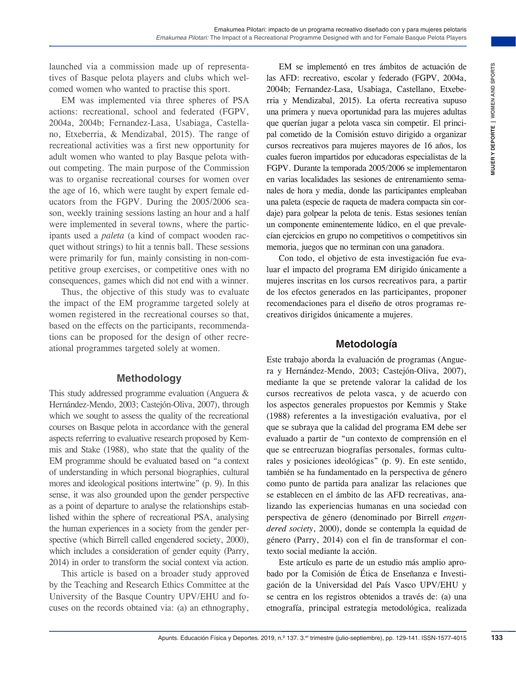launched via a commission made up of representatives of Basque pelota players and clubs which welcomed women who wanted to practise this sport.

EM was implemented via three spheres of PSA actions: recreational, school and federated (FGPV, 2004a, 2004b; Fernandez-Lasa, Usabiaga, Castellano, Etxeberria, & Mendizabal, 2015). The range of recreational activities was a first new opportunity for adult women who wanted to play Basque pelota without competing. The main purpose of the Commission was to organise recreational courses for women over the age of 16, which were taught by expert female educators from the FGPV. During the 2005/2006 season, weekly training sessions lasting an hour and a half were implemented in several towns, where the participants used a *paleta* (a kind of compact wooden racquet without strings) to hit a tennis ball. These sessions were primarily for fun, mainly consisting in non-competitive group exercises, or competitive ones with no consequences, games which did not end with a winner.

Thus, the objective of this study was to evaluate the impact of the EM programme targeted solely at women registered in the recreational courses so that, based on the effects on the participants, recommendations can be proposed for the design of other recreational programmes targeted solely at women.

#### **Methodology**

This study addressed programme evaluation (Anguera & Hernández-Mendo, 2003; Castejón-Oliva, 2007), through which we sought to assess the quality of the recreational courses on Basque pelota in accordance with the general aspects referring to evaluative research proposed by Kemmis and Stake (1988), who state that the quality of the EM programme should be evaluated based on "a context of understanding in which personal biographies, cultural mores and ideological positions intertwine" (p. 9). In this sense, it was also grounded upon the gender perspective as a point of departure to analyse the relationships established within the sphere of recreational PSA, analysing the human experiences in a society from the gender perspective (which Birrell called engendered society, 2000), which includes a consideration of gender equity (Parry, 2014) in order to transform the social context via action.

This article is based on a broader study approved by the Teaching and Research Ethics Committee at the University of the Basque Country UPV/EHU and focuses on the records obtained via: (a) an ethnography,

EM se implementó en tres ámbitos de actuación de las AFD: recreativo, escolar y federado (FGPV, 2004a, 2004b; Fernandez-Lasa, Usabiaga, Castellano, Etxeberria y Mendizabal, 2015). La oferta recreativa supuso una primera y nueva oportunidad para las mujeres adultas que querían jugar a pelota vasca sin competir. El principal cometido de la Comisión estuvo dirigido a organizar cursos recreativos para mujeres mayores de 16 años, los cuales fueron impartidos por educadoras especialistas de la FGPV. Durante la temporada 2005/2006 se implementaron en varias localidades las sesiones de entrenamiento semanales de hora y media, donde las participantes empleaban una paleta (especie de raqueta de madera compacta sin cordaje) para golpear la pelota de tenis. Estas sesiones tenían un componente eminentemente lúdico, en el que prevalecían ejercicios en grupo no competitivos o competitivos sin memoria, juegos que no terminan con una ganadora.

Con todo, el objetivo de esta investigación fue evaluar el impacto del programa EM dirigido únicamente a mujeres inscritas en los cursos recreativos para, a partir de los efectos generados en las participantes, proponer recomendaciones para el diseño de otros programas recreativos dirigidos únicamente a mujeres.

#### **Metodología**

made up of representation Fisical y Deportes in the standard of transfer than spectral in spectral (1919), the other are proported in spectral y contents are not become the spectral of terms operating the standard contents Este trabajo aborda la evaluación de programas (Anguera y Hernández-Mendo, 2003; Castejón-Oliva, 2007), mediante la que se pretende valorar la calidad de los cursos recreativos de pelota vasca, y de acuerdo con los aspectos generales propuestos por Kemmis y Stake (1988) referentes a la investigación evaluativa, por el que se subraya que la calidad del programa EM debe ser evaluado a partir de "un contexto de comprensión en el que se entrecruzan biografías personales, formas culturales y posiciones ideológicas" (p. 9). En este sentido, también se ha fundamentado en la perspectiva de género como punto de partida para analizar las relaciones que se establecen en el ámbito de las AFD recreativas, analizando las experiencias humanas en una sociedad con perspectiva de género (denominado por Birrell *engendered society*, 2000), donde se contempla la equidad de género (Parry, 2014) con el fin de transformar el contexto social mediante la acción.

Este artículo es parte de un estudio más amplio aprobado por la Comisión de Ética de Enseñanza e Investigación de la Universidad del País Vasco UPV/EHU y se centra en los registros obtenidos a través de: (a) una etnografía, principal estrategia metodológica, realizada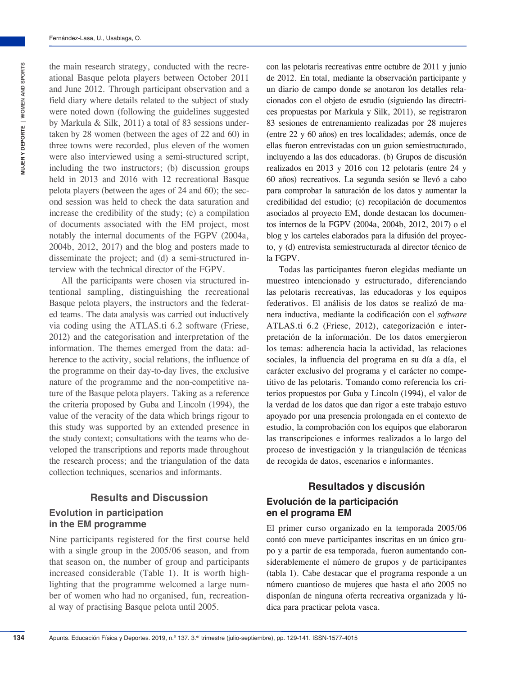**134**

the main research strategy, conducted with the recreational Basque pelota players between October 2011 and June 2012. Through participant observation and a field diary where details related to the subject of study were noted down (following the guidelines suggested by Markula & Silk, 2011) a total of 83 sessions undertaken by 28 women (between the ages of 22 and 60) in three towns were recorded, plus eleven of the women were also interviewed using a semi-structured script, including the two instructors; (b) discussion groups held in 2013 and 2016 with 12 recreational Basque pelota players (between the ages of 24 and 60); the second session was held to check the data saturation and increase the credibility of the study; (c) a compilation of documents associated with the EM project, most notably the internal documents of the FGPV (2004a, 2004b, 2012, 2017) and the blog and posters made to disseminate the project; and (d) a semi-structured interview with the technical director of the FGPV.

All the participants were chosen via structured intentional sampling, distinguishing the recreational Basque pelota players, the instructors and the federated teams. The data analysis was carried out inductively via coding using the ATLAS.ti 6.2 software (Friese, 2012) and the categorisation and interpretation of the information. The themes emerged from the data: adherence to the activity, social relations, the influence of the programme on their day-to-day lives, the exclusive nature of the programme and the non-competitive nature of the Basque pelota players. Taking as a reference the criteria proposed by Guba and Lincoln (1994), the value of the veracity of the data which brings rigour to this study was supported by an extended presence in the study context; consultations with the teams who developed the transcriptions and reports made throughout the research process; and the triangulation of the data collection techniques, scenarios and informants.

# **Results and Discussion**

#### **Evolution in participation in the EM programme**

Nine participants registered for the first course held with a single group in the 2005/06 season, and from that season on, the number of group and participants increased considerable (Table 1). It is worth highlighting that the programme welcomed a large number of women who had no organised, fun, recreational way of practising Basque pelota until 2005.

con las pelotaris recreativas entre octubre de 2011 y junio de 2012. En total, mediante la observación participante y un diario de campo donde se anotaron los detalles relacionados con el objeto de estudio (siguiendo las directrices propuestas por Markula y Silk, 2011), se registraron 83 sesiones de entrenamiento realizadas por 28 mujeres (entre 22 y 60 años) en tres localidades; además, once de ellas fueron entrevistadas con un guion semiestructurado, incluyendo a las dos educadoras. (b) Grupos de discusión realizados en 2013 y 2016 con 12 pelotaris (entre 24 y 60 años) recreativos. La segunda sesión se llevó a cabo para comprobar la saturación de los datos y aumentar la credibilidad del estudio; (c) recopilación de documentos asociados al proyecto EM, donde destacan los documentos internos de la FGPV (2004a, 2004b, 2012, 2017) o el blog y los carteles elaborados para la difusión del proyecto, y (d) entrevista semiestructurada al director técnico de la FGPV.

Todas las participantes fueron elegidas mediante un muestreo intencionado y estructurado, diferenciando las pelotaris recreativas, las educadoras y los equipos federativos. El análisis de los datos se realizó de manera inductiva, mediante la codificación con el *software* ATLAS.ti 6.2 (Friese, 2012), categorización e interpretación de la información. De los datos emergieron los temas: adherencia hacia la actividad, las relaciones sociales, la influencia del programa en su día a día, el carácter exclusivo del programa y el carácter no competitivo de las pelotaris. Tomando como referencia los criterios propuestos por Guba y Lincoln (1994), el valor de la verdad de los datos que dan rigor a este trabajo estuvo apoyado por una presencia prolongada en el contexto de estudio, la comprobación con los equipos que elaboraron las transcripciones e informes realizados a lo largo del proceso de investigación y la triangulación de técnicas de recogida de datos, escenarios e informantes.

## **Resultados y discusión**

#### **Evolución de la participación en el programa EM**

El primer curso organizado en la temporada 2005/06 contó con nueve participantes inscritas en un único grupo y a partir de esa temporada, fueron aumentando considerablemente el número de grupos y de participantes (tabla 1). Cabe destacar que el programa responde a un número cuantioso de mujeres que hasta el año 2005 no disponían de ninguna oferta recreativa organizada y lúdica para practicar pelota vasca.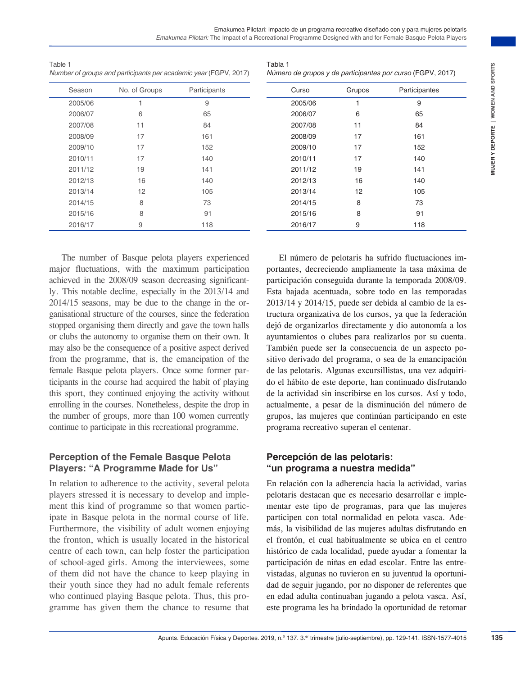| Table 1                                                          |  |
|------------------------------------------------------------------|--|
| Number of groups and participants per academic year (FGPV, 2017) |  |

Tabla 1 *Número de grupos y de participantes por curso* (FGPV, 2017)

| Season  | No. of Groups | Participants |
|---------|---------------|--------------|
| 2005/06 | 1             | 9            |
| 2006/07 | 6             | 65           |
| 2007/08 | 11            | 84           |
| 2008/09 | 17            | 161          |
| 2009/10 | 17            | 152          |
| 2010/11 | 17            | 140          |
| 2011/12 | 19            | 141          |
| 2012/13 | 16            | 140          |
| 2013/14 | 12            | 105          |
| 2014/15 | 8             | 73           |
| 2015/16 | 8             | 91           |
| 2016/17 | 9             | 118          |

| Curso   | Grupos | Participantes |  |
|---------|--------|---------------|--|
| 2005/06 | 1      | 9             |  |
| 2006/07 | 6      | 65            |  |
| 2007/08 | 11     | 84            |  |
| 2008/09 | 17     | 161           |  |
| 2009/10 | 17     | 152           |  |
| 2010/11 | 17     | 140           |  |
| 2011/12 | 19     | 141           |  |
| 2012/13 | 16     | 140           |  |
| 2013/14 | 12     | 105           |  |
| 2014/15 | 8      | 73            |  |
| 2015/16 | 8      | 91            |  |
| 2016/17 | 9      | 118           |  |

The number of Basque pelota players experienced major fluctuations, with the maximum participation achieved in the 2008/09 season decreasing significantly. This notable decline, especially in the 2013/14 and 2014/15 seasons, may be due to the change in the organisational structure of the courses, since the federation stopped organising them directly and gave the town halls or clubs the autonomy to organise them on their own. It may also be the consequence of a positive aspect derived from the programme, that is, the emancipation of the female Basque pelota players. Once some former participants in the course had acquired the habit of playing this sport, they continued enjoying the activity without enrolling in the courses. Nonetheless, despite the drop in the number of groups, more than 100 women currently continue to participate in this recreational programme.

### **Perception of the Female Basque Pelota Players: "A Programme Made for Us"**

In relation to adherence to the activity, several pelota players stressed it is necessary to develop and implement this kind of programme so that women participate in Basque pelota in the normal course of life. Furthermore, the visibility of adult women enjoying the fronton, which is usually located in the historical centre of each town, can help foster the participation of school-aged girls. Among the interviewees, some of them did not have the chance to keep playing in their youth since they had no adult female referents who continued playing Basque pelota. Thus, this programme has given them the chance to resume that

Associated point (figar), 2017) **Aluneo de grupes of exactions are control figar and the properties. The matter of the control of the control of the control of the control of the control of the control of the control of th** El número de pelotaris ha sufrido fluctuaciones importantes, decreciendo ampliamente la tasa máxima de participación conseguida durante la temporada 2008/09. Esta bajada acentuada, sobre todo en las temporadas 2013/14 y 2014/15, puede ser debida al cambio de la estructura organizativa de los cursos, ya que la federación dejó de organizarlos directamente y dio autonomía a los ayuntamientos o clubes para realizarlos por su cuenta. También puede ser la consecuencia de un aspecto positivo derivado del programa, o sea de la emancipación de las pelotaris. Algunas excursillistas, una vez adquirido el hábito de este deporte, han continuado disfrutando de la actividad sin inscribirse en los cursos. Así y todo, actualmente, a pesar de la disminución del número de grupos, las mujeres que continúan participando en este programa recreativo superan el centenar.

### **Percepción de las pelotaris: "un programa a nuestra medida"**

En relación con la adherencia hacia la actividad, varias pelotaris destacan que es necesario desarrollar e implementar este tipo de programas, para que las mujeres participen con total normalidad en pelota vasca. Además, la visibilidad de las mujeres adultas disfrutando en el frontón, el cual habitualmente se ubica en el centro histórico de cada localidad, puede ayudar a fomentar la participación de niñas en edad escolar. Entre las entrevistadas, algunas no tuvieron en su juventud la oportunidad de seguir jugando, por no disponer de referentes que en edad adulta continuaban jugando a pelota vasca. Así, este programa les ha brindado la oportunidad de retomar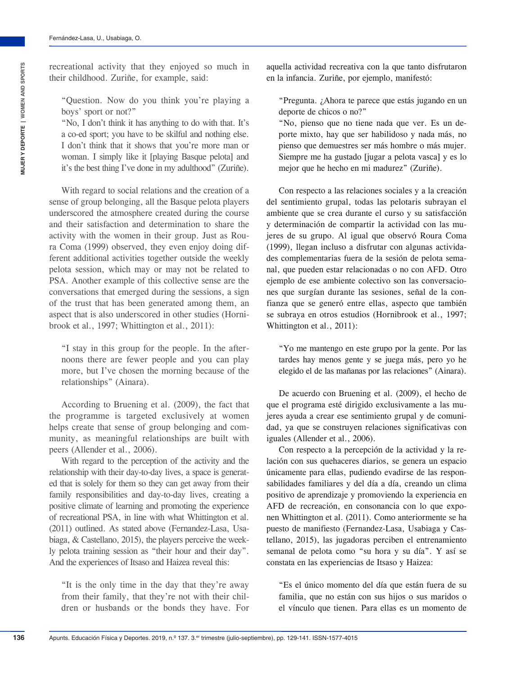**136**

recreational activity that they enjoyed so much in their childhood. Zuriñe, for example, said:

"Question. Now do you think you're playing a boys' sport or not?"

"No, I don't think it has anything to do with that. It's a co-ed sport; you have to be skilful and nothing else. I don't think that it shows that you're more man or woman. I simply like it [playing Basque pelota] and it's the best thing I've done in my adulthood" (Zuriñe).

With regard to social relations and the creation of a sense of group belonging, all the Basque pelota players underscored the atmosphere created during the course and their satisfaction and determination to share the activity with the women in their group. Just as Roura Coma (1999) observed, they even enjoy doing different additional activities together outside the weekly pelota session, which may or may not be related to PSA. Another example of this collective sense are the conversations that emerged during the sessions, a sign of the trust that has been generated among them, an aspect that is also underscored in other studies (Hornibrook et al., 1997; Whittington et al., 2011):

"I stay in this group for the people. In the afternoons there are fewer people and you can play more, but I've chosen the morning because of the relationships" (Ainara).

According to Bruening et al. (2009), the fact that the programme is targeted exclusively at women helps create that sense of group belonging and community, as meaningful relationships are built with peers (Allender et al., 2006).

With regard to the perception of the activity and the relationship with their day-to-day lives, a space is generated that is solely for them so they can get away from their family responsibilities and day-to-day lives, creating a positive climate of learning and promoting the experience of recreational PSA, in line with what Whittington et al. (2011) outlined. As stated above (Fernandez-Lasa, Usabiaga, & Castellano, 2015), the players perceive the weekly pelota training session as "their hour and their day". And the experiences of Itsaso and Haizea reveal this:

"It is the only time in the day that they're away from their family, that they're not with their children or husbands or the bonds they have. For aquella actividad recreativa con la que tanto disfrutaron en la infancia. Zuriñe, por ejemplo, manifestó:

"Pregunta. ¿Ahora te parece que estás jugando en un deporte de chicos o no?"

"No, pienso que no tiene nada que ver. Es un deporte mixto, hay que ser habilidoso y nada más, no pienso que demuestres ser más hombre o más mujer. Siempre me ha gustado [jugar a pelota vasca] y es lo mejor que he hecho en mi madurez" (Zuriñe).

Con respecto a las relaciones sociales y a la creación del sentimiento grupal, todas las pelotaris subrayan el ambiente que se crea durante el curso y su satisfacción y determinación de compartir la actividad con las mujeres de su grupo. Al igual que observó Roura Coma (1999), llegan incluso a disfrutar con algunas actividades complementarias fuera de la sesión de pelota semanal, que pueden estar relacionadas o no con AFD. Otro ejemplo de ese ambiente colectivo son las conversaciones que surgían durante las sesiones, señal de la confianza que se generó entre ellas, aspecto que también se subraya en otros estudios (Hornibrook et al., 1997; Whittington et al., 2011):

"Yo me mantengo en este grupo por la gente. Por las tardes hay menos gente y se juega más, pero yo he elegido el de las mañanas por las relaciones" (Ainara).

De acuerdo con Bruening et al. (2009), el hecho de que el programa esté dirigido exclusivamente a las mujeres ayuda a crear ese sentimiento grupal y de comunidad, ya que se construyen relaciones significativas con iguales (Allender et al., 2006).

Con respecto a la percepción de la actividad y la relación con sus quehaceres diarios, se genera un espacio únicamente para ellas, pudiendo evadirse de las responsabilidades familiares y del día a día, creando un clima positivo de aprendizaje y promoviendo la experiencia en AFD de recreación, en consonancia con lo que exponen Whittington et al. (2011). Como anteriormente se ha puesto de manifiesto (Fernandez-Lasa, Usabiaga y Castellano, 2015), las jugadoras perciben el entrenamiento semanal de pelota como "su hora y su día". Y así se constata en las experiencias de Itsaso y Haizea:

"Es el único momento del día que están fuera de su familia, que no están con sus hijos o sus maridos o el vínculo que tienen. Para ellas es un momento de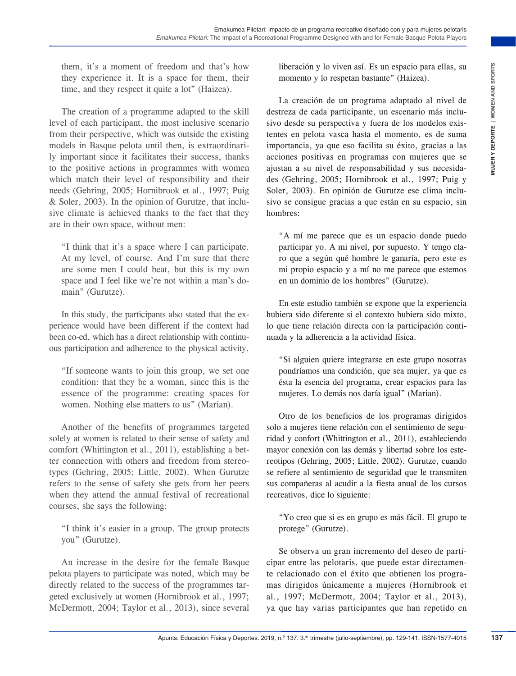them, it's a moment of freedom and that's how they experience it. It is a space for them, their time, and they respect it quite a lot" (Haizea).

The creation of a programme adapted to the skill level of each participant, the most inclusive scenario from their perspective, which was outside the existing models in Basque pelota until then, is extraordinarily important since it facilitates their success, thanks to the positive actions in programmes with women which match their level of responsibility and their needs (Gehring, 2005; Hornibrook et al., 1997; Puig & Soler, 2003). In the opinion of Gurutze, that inclusive climate is achieved thanks to the fact that they are in their own space, without men:

"I think that it's a space where I can participate. At my level, of course. And I'm sure that there are some men I could beat, but this is my own space and I feel like we're not within a man's domain" (Gurutze).

In this study, the participants also stated that the experience would have been different if the context had been co-ed, which has a direct relationship with continuous participation and adherence to the physical activity.

"If someone wants to join this group, we set one condition: that they be a woman, since this is the essence of the programme: creating spaces for women. Nothing else matters to us" (Marian).

Another of the benefits of programmes targeted solely at women is related to their sense of safety and comfort (Whittington et al., 2011), establishing a better connection with others and freedom from stereotypes (Gehring, 2005; Little, 2002). When Gurutze refers to the sense of safety she gets from her peers when they attend the annual festival of recreational courses, she says the following:

"I think it's easier in a group. The group protects you" (Gurutze).

An increase in the desire for the female Basque pelota players to participate was noted, which may be directly related to the success of the programmes targeted exclusively at women (Hornibrook et al., 1997; McDermott, 2004; Taylor et al., 2013), since several

liberación y lo viven así. Es un espacio para ellas, su momento y lo respetan bastante" (Haizea).

Frechm and that's how interaction and the set of the properties. The control of the set of the set of the set of the set of the set of the set of the set of the set of the set of the set of the set of the set of the set of La creación de un programa adaptado al nivel de destreza de cada participante, un escenario más inclusivo desde su perspectiva y fuera de los modelos existentes en pelota vasca hasta el momento, es de suma importancia, ya que eso facilita su éxito, gracias a las acciones positivas en programas con mujeres que se ajustan a su nivel de responsabilidad y sus necesidades (Gehring, 2005; Hornibrook et al., 1997; Puig y Soler, 2003). En opinión de Gurutze ese clima inclusivo se consigue gracias a que están en su espacio, sin hombres:

"A mí me parece que es un espacio donde puedo participar yo. A mi nivel, por supuesto. Y tengo claro que a según qué hombre le ganaría, pero este es mi propio espacio y a mí no me parece que estemos en un dominio de los hombres" (Gurutze).

En este estudio también se expone que la experiencia hubiera sido diferente si el contexto hubiera sido mixto, lo que tiene relación directa con la participación continuada y la adherencia a la actividad física.

"Si alguien quiere integrarse en este grupo nosotras pondríamos una condición, que sea mujer, ya que es ésta la esencia del programa, crear espacios para las mujeres. Lo demás nos daría igual" (Marian).

Otro de los beneficios de los programas dirigidos solo a mujeres tiene relación con el sentimiento de seguridad y confort (Whittington et al., 2011), estableciendo mayor conexión con las demás y libertad sobre los estereotipos (Gehring, 2005; Little, 2002). Gurutze, cuando se refiere al sentimiento de seguridad que le transmiten sus compañeras al acudir a la fiesta anual de los cursos recreativos, dice lo siguiente:

"Yo creo que si es en grupo es más fácil. El grupo te protege" (Gurutze).

Se observa un gran incremento del deseo de participar entre las pelotaris, que puede estar directamente relacionado con el éxito que obtienen los programas dirigidos únicamente a mujeres (Hornibrook et al., 1997; McDermott, 2004; Taylor et al., 2013), ya que hay varias participantes que han repetido en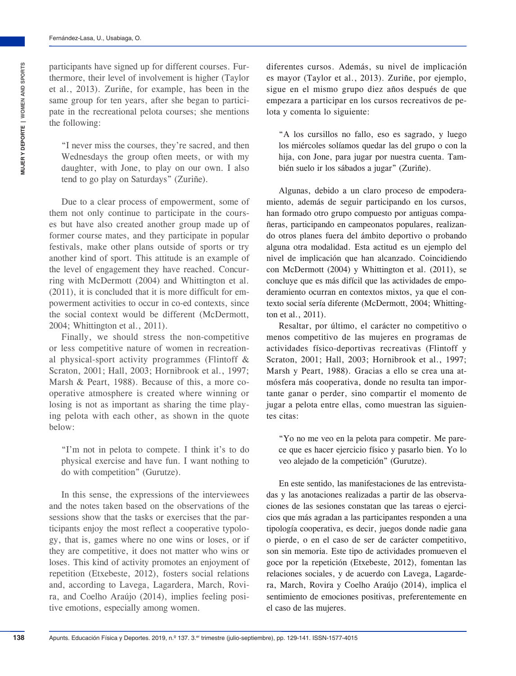participants have signed up for different courses. Furthermore, their level of involvement is higher (Taylor et al., 2013). Zuriñe, for example, has been in the same group for ten years, after she began to participate in the recreational pelota courses; she mentions the following:

"I never miss the courses, they're sacred, and then Wednesdays the group often meets, or with my daughter, with Jone, to play on our own. I also tend to go play on Saturdays" (Zuriñe).

Due to a clear process of empowerment, some of them not only continue to participate in the courses but have also created another group made up of former course mates, and they participate in popular festivals, make other plans outside of sports or try another kind of sport. This attitude is an example of the level of engagement they have reached. Concurring with McDermott (2004) and Whittington et al. (2011), it is concluded that it is more difficult for empowerment activities to occur in co-ed contexts, since the social context would be different (McDermott, 2004; Whittington et al., 2011).

Finally, we should stress the non-competitive or less competitive nature of women in recreational physical-sport activity programmes (Flintoff & Scraton, 2001; Hall, 2003; Hornibrook et al., 1997; Marsh & Peart, 1988). Because of this, a more cooperative atmosphere is created where winning or losing is not as important as sharing the time playing pelota with each other, as shown in the quote below:

"I'm not in pelota to compete. I think it's to do physical exercise and have fun. I want nothing to do with competition" (Gurutze).

In this sense, the expressions of the interviewees and the notes taken based on the observations of the sessions show that the tasks or exercises that the participants enjoy the most reflect a cooperative typology, that is, games where no one wins or loses, or if they are competitive, it does not matter who wins or loses. This kind of activity promotes an enjoyment of repetition (Etxebeste, 2012), fosters social relations and, according to Lavega, Lagardera, March, Rovira, and Coelho Araújo (2014), implies feeling positive emotions, especially among women.

diferentes cursos. Además, su nivel de implicación es mayor (Taylor et al., 2013). Zuriñe, por ejemplo, sigue en el mismo grupo diez años después de que empezara a participar en los cursos recreativos de pelota y comenta lo siguiente:

"A los cursillos no fallo, eso es sagrado, y luego los miércoles solíamos quedar las del grupo o con la hija, con Jone, para jugar por nuestra cuenta. También suelo ir los sábados a jugar" (Zuriñe).

Algunas, debido a un claro proceso de empoderamiento, además de seguir participando en los cursos, han formado otro grupo compuesto por antiguas compañeras, participando en campeonatos populares, realizando otros planes fuera del ámbito deportivo o probando alguna otra modalidad. Esta actitud es un ejemplo del nivel de implicación que han alcanzado. Coincidiendo con McDermott (2004) y Whittington et al. (2011), se concluye que es más difícil que las actividades de empoderamiento ocurran en contextos mixtos, ya que el contexto social sería diferente (McDermott, 2004; Whittington et al., 2011).

Resaltar, por último, el carácter no competitivo o menos competitivo de las mujeres en programas de actividades físico-deportivas recreativas (Flintoff y Scraton, 2001; Hall, 2003; Hornibrook et al., 1997; Marsh y Peart, 1988). Gracias a ello se crea una atmósfera más cooperativa, donde no resulta tan importante ganar o perder, sino compartir el momento de jugar a pelota entre ellas, como muestran las siguientes citas:

"Yo no me veo en la pelota para competir. Me parece que es hacer ejercicio físico y pasarlo bien. Yo lo veo alejado de la competición" (Gurutze).

En este sentido, las manifestaciones de las entrevistadas y las anotaciones realizadas a partir de las observaciones de las sesiones constatan que las tareas o ejercicios que más agradan a las participantes responden a una tipología cooperativa, es decir, juegos donde nadie gana o pierde, o en el caso de ser de carácter competitivo, son sin memoria. Este tipo de actividades promueven el goce por la repetición (Etxebeste, 2012), fomentan las relaciones sociales, y de acuerdo con Lavega, Lagardera, March, Rovira y Coelho Araújo (2014), implica el sentimiento de emociones positivas, preferentemente en el caso de las mujeres.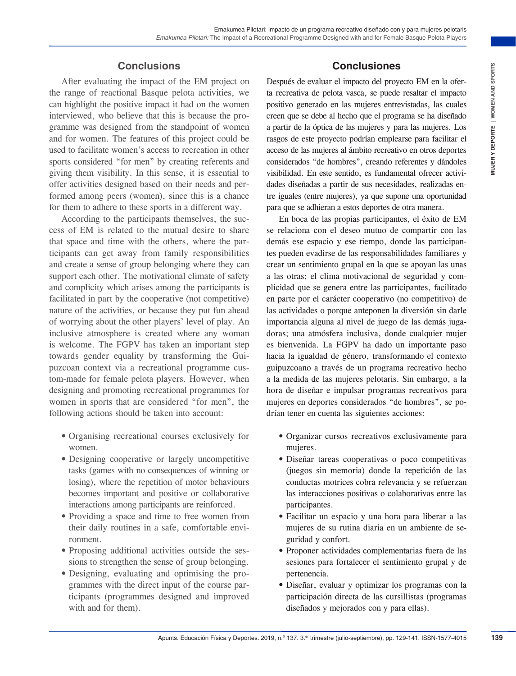#### Emakumea Pilotari: impacto de un programa recreativo diseñado con y para mujeres pelotaris *Emakumea Pilotari:* The Impact of a Recreational Programme Designed with and for Female Basque Pelota Players

#### **Conclusions**

After evaluating the impact of the EM project on the range of reactional Basque pelota activities, we can highlight the positive impact it had on the women interviewed, who believe that this is because the programme was designed from the standpoint of women and for women. The features of this project could be used to facilitate women's access to recreation in other sports considered "for men" by creating referents and giving them visibility. In this sense, it is essential to offer activities designed based on their needs and performed among peers (women), since this is a chance for them to adhere to these sports in a different way.

According to the participants themselves, the success of EM is related to the mutual desire to share that space and time with the others, where the participants can get away from family responsibilities and create a sense of group belonging where they can support each other. The motivational climate of safety and complicity which arises among the participants is facilitated in part by the cooperative (not competitive) nature of the activities, or because they put fun ahead of worrying about the other players' level of play. An inclusive atmosphere is created where any woman is welcome. The FGPV has taken an important step towards gender equality by transforming the Guipuzcoan context via a recreational programme custom-made for female pelota players. However, when designing and promoting recreational programmes for women in sports that are considered "for men", the following actions should be taken into account:

- Organising recreational courses exclusively for women.
- Designing cooperative or largely uncompetitive tasks (games with no consequences of winning or losing), where the repetition of motor behaviours becomes important and positive or collaborative interactions among participants are reinforced.
- Providing a space and time to free women from their daily routines in a safe, comfortable environment.
- Proposing additional activities outside the sessions to strengthen the sense of group belonging.
- Designing, evaluating and optimising the programmes with the direct input of the course participants (programmes designed and improved with and for them).

#### **Conclusiones**

Después de evaluar el impacto del proyecto EM en la oferta recreativa de pelota vasca, se puede resaltar el impacto positivo generado en las mujeres entrevistadas, las cuales creen que se debe al hecho que el programa se ha diseñado a partir de la óptica de las mujeres y para las mujeres. Los rasgos de este proyecto podrían emplearse para facilitar el acceso de las mujeres al ámbito recreativo en otros deportes considerados "de hombres", creando referentes y dándoles visibilidad. En este sentido, es fundamental ofrecer actividades diseñadas a partir de sus necesidades, realizadas entre iguales (entre mujeres), ya que supone una oportunidad para que se adhieran a estos deportes de otra manera.

**Apure 1911** (**a** train the state of the state of the state of train in the state of train and the state of train a moreover of policies, we are necessive as a specific desired in this state is stated to the state of the s En boca de las propias participantes, el éxito de EM se relaciona con el deseo mutuo de compartir con las demás ese espacio y ese tiempo, donde las participantes pueden evadirse de las responsabilidades familiares y crear un sentimiento grupal en la que se apoyan las unas a las otras; el clima motivacional de seguridad y complicidad que se genera entre las participantes, facilitado en parte por el carácter cooperativo (no competitivo) de las actividades o porque anteponen la diversión sin darle importancia alguna al nivel de juego de las demás jugadoras; una atmósfera inclusiva, donde cualquier mujer es bienvenida. La FGPV ha dado un importante paso hacia la igualdad de género, transformando el contexto guipuzcoano a través de un programa recreativo hecho a la medida de las mujeres pelotaris. Sin embargo, a la hora de diseñar e impulsar programas recreativos para mujeres en deportes considerados "de hombres", se podrían tener en cuenta las siguientes acciones:

- Organizar cursos recreativos exclusivamente para mujeres.
- Diseñar tareas cooperativas o poco competitivas (juegos sin memoria) donde la repetición de las conductas motrices cobra relevancia y se refuerzan las interacciones positivas o colaborativas entre las participantes.
- Facilitar un espacio y una hora para liberar a las mujeres de su rutina diaria en un ambiente de seguridad y confort.
- Proponer actividades complementarias fuera de las sesiones para fortalecer el sentimiento grupal y de pertenencia.
- Diseñar, evaluar y optimizar los programas con la participación directa de las cursillistas (programas diseñados y mejorados con y para ellas).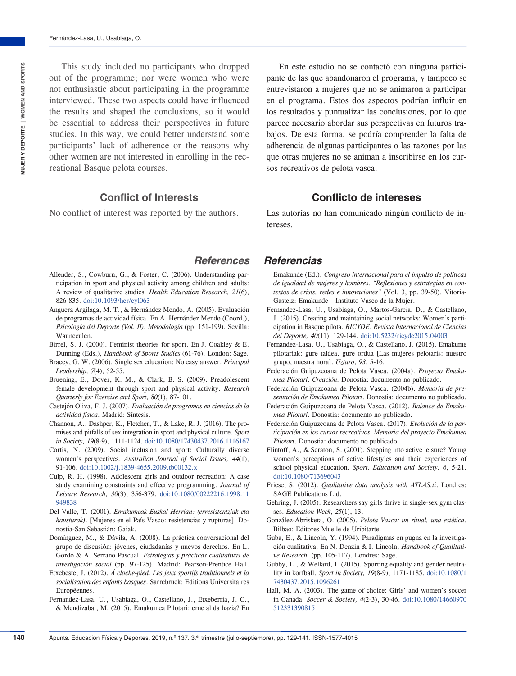This study included no participants who dropped out of the programme; nor were women who were not enthusiastic about participating in the programme interviewed. These two aspects could have influenced the results and shaped the conclusions, so it would be essential to address their perspectives in future studies. In this way, we could better understand some participants' lack of adherence or the reasons why other women are not interested in enrolling in the recreational Basque pelota courses.

#### **Conflict of Interests**

No conflict of interest was reported by the authors.

- Allender, S., Cowburn, G., & Foster, C. (2006). Understanding participation in sport and physical activity among children and adults: A review of qualitative studies*. Health Education Research, 21*(6), 826-835. [doi:10.1093/her/cyl063](https://doi.org/10.1093/her/cyl063)
- Anguera Argilaga, M. T., & Hernández Mendo, A. (2005). Evaluación de programas de actividad física. En A. Hernández Mendo (Coord.), *Psicología del Deporte (Vol. II). Metodología* (pp. 151-199). Sevilla: Waunceulen.
- Birrel, S. J. (2000). Feminist theories for sport. En J. Coakley & E. Dunning (Eds.), *Handbook of Sports Studies* (61-76). London: Sage.
- Bracey, G. W. (2006). Single sex education: No easy answer. *Principal Leadership, 7*(4), 52-55.
- Bruening, E., Dover, K. M., & Clark, B. S. (2009). Preadolescent female development through sport and physical activity. *Research Quarterly for Exercise and Sport, 80*(1), 87-101.
- Castejón Oliva, F. J. (2007). *Evaluación de programas en ciencias de la actividad física*. Madrid: Síntesis.
- Channon, A., Dashper, K., Fletcher, T., & Lake, R. J. (2016). The promises and pitfalls of sex integration in sport and physical culture*. Sport in Society, 19*(8-9), 1111-1124. [doi:10.1080/17430437.2016.1116167](https://doi.org/10.1080/17430437.2016.1116167)
- Cortis, N. (2009). Social inclusion and sport: Culturally diverse women's perspectives. *Australian Journal of Social Issues, 44*(1), 91-106. [doi:10.1002/j.1839-4655.2009.tb00132.x](https://doi.org/10.1002/j.1839-4655.2009.tb00132.x)
- Culp, R. H. (1998). Adolescent girls and outdoor recreation: A case study examining constraints and effective programming. *Journal of Leisure Research, 30*(3), 356-379. [doi:10.1080/00222216.1998.11](https://doi.org/10.1080/00222216.1998.11949838) [949838](https://doi.org/10.1080/00222216.1998.11949838)
- Del Valle, T. (2001). *Emakumeak Euskal Herrian: (erresistentziak eta hausturak)*. [Mujeres en el País Vasco: resistencias y rupturas]. Donostia-San Sebastián: Gaiak.
- Domínguez, M., & Dávila, A. (2008). La práctica conversacional del grupo de discusión: jóvenes, ciudadanías y nuevos derechos. En L. Gordo & A. Serrano Pascual, *Estrategias y prácticas cualitativas de investigación social* (pp. 97-125). Madrid: Pearson-Prentice Hall.
- Etxebeste, J. (2012). *Á cloche-pied. Les jeux sportifs traditionnels et la socialisation des enfants basques*. Sarrebruck: Editions Universitaires Européennes.
- Fernandez-Lasa, U., Usabiaga, O., Castellano, J., Etxeberria, J. C., & Mendizabal, M. (2015). Emakumea Pilotari: erne al da hazia? En

En este estudio no se contactó con ninguna participante de las que abandonaron el programa, y tampoco se entrevistaron a mujeres que no se animaron a participar en el programa. Estos dos aspectos podrían influir en los resultados y puntualizar las conclusiones, por lo que parece necesario abordar sus perspectivas en futuros trabajos. De esta forma, se podría comprender la falta de adherencia de algunas participantes o las razones por las que otras mujeres no se animan a inscribirse en los cursos recreativos de pelota vasca.

#### **Conflicto de intereses**

Las autorías no han comunicado ningún conflicto de intereses.

#### *References Referencias*

- Emakunde (Ed.), *Congreso internacional para el impulso de políticas de igualdad de mujeres y hombres. "Reflexiones y estrategias en contextos de crisis, redes e innovaciones"* (Vol. 3, pp. 39-50). Vitoria-Gasteiz: Emakunde – Instituto Vasco de la Mujer.
- Fernandez-Lasa, U., Usabiaga, O., Martos-García, D., & Castellano, J. (2015). Creating and maintaining social networks: Women's participation in Basque pilota. *RICYDE*. *Revista Internacional de Ciencias del Deporte, 40*(11), 129-144. [doi:10.5232/ricyde2015.04003](https://doi.org/10.5232/ricyde2015.04003)
- Fernandez-Lasa, U., Usabiaga, O., & Castellano, J. (2015). Emakume pilotariak: gure taldea, gure ordua [Las mujeres pelotaris: nuestro grupo, nuestra hora]. *Uztaro*, *93*, 5-16.
- Federación Guipuzcoana de Pelota Vasca. (2004a). *Proyecto Emakumea Pilotari. Creación.* Donostia: documento no publicado.
- Federación Guipuzcoana de Pelota Vasca. (2004b). *Memoria de presentación de Emakumea Pilotari*. Donostia: documento no publicado.
- Federación Guipuzcoana de Pelota Vasca. (2012). *Balance de Emakumea Pilotari*. Donostia: documento no publicado.
- Federación Guipuzcoana de Pelota Vasca. (2017). *Evolución de la participación en los cursos recreativos. Memoria del proyecto Emakumea Pilotari*. Donostia: documento no publicado.
- Flintoff, A., & Scraton, S. (2001). Stepping into active leisure? Young women's perceptions of active lifestyles and their experiences of school physical education. *Sport, Education and Society, 6*, 5-21. [doi:10.1080/713696043](https://doi.org/10.1080/713696043)
- Friese, S. (2012). *Qualitative data analysis with ATLAS.ti*. Londres: SAGE Publications Ltd.
- Gehring, J. (2005). Researchers say girls thrive in single-sex gym classes. *Education Week*, *25*(1), 13.
- González-Abrisketa, O. (2005). *Pelota Vasca: un ritual, una estética*. Bilbao: Editores Muelle de Uribitarte.
- Guba, E., & Lincoln, Y. (1994). Paradigmas en pugna en la investigación cualitativa. En N. Denzin & I. Lincoln, *Handbook of Qualitative Research* (pp. 105-117). Londres: Sage.
- Gubby, L., & Wellard, I. (2015). Sporting equality and gender neutrality in korfball. *Sport in Society, 19*(8-9), 1171-1185. [doi:10.1080/1](https://doi.org/10.1080/17430437.2015.1096261) [7430437.2015.1096261](https://doi.org/10.1080/17430437.2015.1096261)
- Hall, M. A. (2003). The game of choice: Girls' and women's soccer in Canada. *Soccer & Society, 4*(2-3), 30-46. [doi:10.1080/14660970](https://doi.org/10.1080/14660970512331390815) [512331390815](https://doi.org/10.1080/14660970512331390815)

**140**